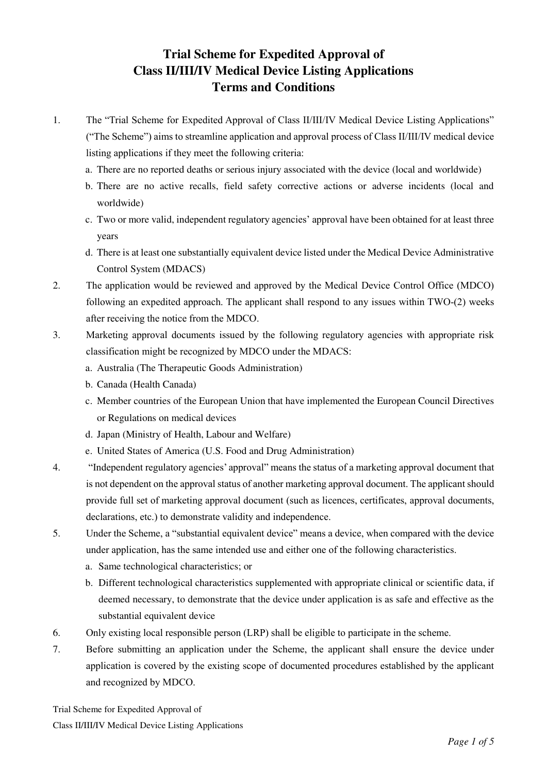# **Trial Scheme for Expedited Approval of Class II/III/IV Medical Device Listing Applications Terms and Conditions**

- 1. The "Trial Scheme for Expedited Approval of Class II/III/IV Medical Device Listing Applications" ("The Scheme") aims to streamline application and approval process of Class II/III/IV medical device listing applications if they meet the following criteria:
	- a. There are no reported deaths or serious injury associated with the device (local and worldwide)
	- b. There are no active recalls, field safety corrective actions or adverse incidents (local and worldwide)
	- c. Two or more valid, independent regulatory agencies' approval have been obtained for at least three years
	- d. There is at least one substantially equivalent device listed under the Medical Device Administrative Control System (MDACS)
- 2. The application would be reviewed and approved by the Medical Device Control Office (MDCO) following an expedited approach. The applicant shall respond to any issues within TWO-(2) weeks after receiving the notice from the MDCO.
- 3. Marketing approval documents issued by the following regulatory agencies with appropriate risk classification might be recognized by MDCO under the MDACS:
	- a. Australia (The Therapeutic Goods Administration)
	- b. Canada (Health Canada)
	- c. Member countries of the European Union that have implemented the European Council Directives or Regulations on medical devices
	- d. Japan (Ministry of Health, Labour and Welfare)
	- e. United States of America (U.S. Food and Drug Administration)
- 4. "Independent regulatory agencies' approval" means the status of a marketing approval document that is not dependent on the approval status of another marketing approval document. The applicant should provide full set of marketing approval document (such as licences, certificates, approval documents, declarations, etc.) to demonstrate validity and independence.
- 5. Under the Scheme, a "substantial equivalent device" means a device, when compared with the device under application, has the same intended use and either one of the following characteristics.
	- a. Same technological characteristics; or
	- b. Different technological characteristics supplemented with appropriate clinical or scientific data, if deemed necessary, to demonstrate that the device under application is as safe and effective as the substantial equivalent device
- 6. Only existing local responsible person (LRP) shall be eligible to participate in the scheme.
- 7. Before submitting an application under the Scheme, the applicant shall ensure the device under application is covered by the existing scope of documented procedures established by the applicant and recognized by MDCO.

Trial Scheme for Expedited Approval of Class II/III/IV Medical Device Listing Applications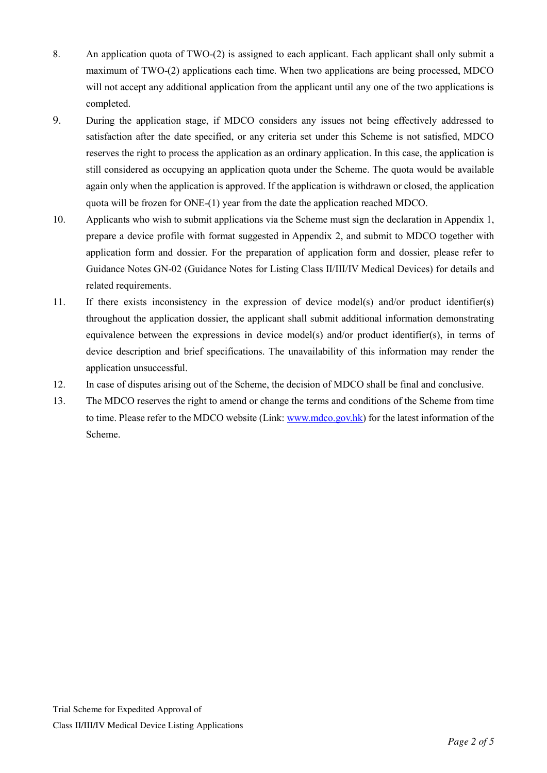- 8. An application quota of TWO-(2) is assigned to each applicant. Each applicant shall only submit a maximum of TWO-(2) applications each time. When two applications are being processed, MDCO will not accept any additional application from the applicant until any one of the two applications is completed.
- 9. During the application stage, if MDCO considers any issues not being effectively addressed to satisfaction after the date specified, or any criteria set under this Scheme is not satisfied, MDCO reserves the right to process the application as an ordinary application. In this case, the application is still considered as occupying an application quota under the Scheme. The quota would be available again only when the application is approved. If the application is withdrawn or closed, the application quota will be frozen for ONE-(1) year from the date the application reached MDCO.
- 10. Applicants who wish to submit applications via the Scheme must sign the declaration in Appendix 1, prepare a device profile with format suggested in Appendix 2, and submit to MDCO together with application form and dossier. For the preparation of application form and dossier, please refer to Guidance Notes GN-02 (Guidance Notes for Listing Class II/III/IV Medical Devices) for details and related requirements.
- 11. If there exists inconsistency in the expression of device model(s) and/or product identifier(s) throughout the application dossier, the applicant shall submit additional information demonstrating equivalence between the expressions in device model(s) and/or product identifier(s), in terms of device description and brief specifications. The unavailability of this information may render the application unsuccessful.
- 12. In case of disputes arising out of the Scheme, the decision of MDCO shall be final and conclusive.
- 13. The MDCO reserves the right to amend or change the terms and conditions of the Scheme from time to time. Please refer to the MDCO website (Link: [www.mdco.gov.hk\)](http://www.mdco.gov.hk/) for the latest information of the Scheme.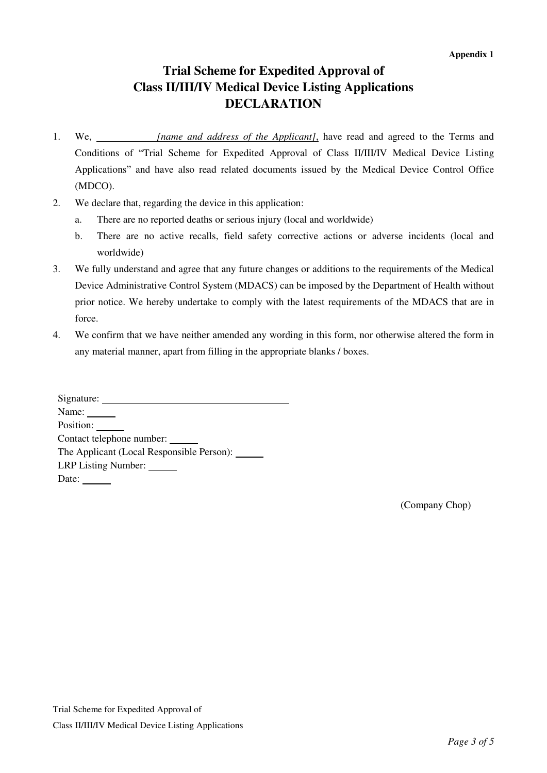## **Trial Scheme for Expedited Approval of Class II/III/IV Medical Device Listing Applications DECLARATION**

- 1. We, *[name and address of the Applicant]*, have read and agreed to the Terms and Conditions of "Trial Scheme for Expedited Approval of Class II/III/IV Medical Device Listing Applications" and have also read related documents issued by the Medical Device Control Office (MDCO).
- 2. We declare that, regarding the device in this application:
	- a. There are no reported deaths or serious injury (local and worldwide)
	- b. There are no active recalls, field safety corrective actions or adverse incidents (local and worldwide)
- 3. We fully understand and agree that any future changes or additions to the requirements of the Medical Device Administrative Control System (MDACS) can be imposed by the Department of Health without prior notice. We hereby undertake to comply with the latest requirements of the MDACS that are in force.
- 4. We confirm that we have neither amended any wording in this form, nor otherwise altered the form in any material manner, apart from filling in the appropriate blanks / boxes.

| Signature:                |  |
|---------------------------|--|
| Name:                     |  |
| Position:                 |  |
| Contact telephone number: |  |
|                           |  |
| LRP Listing Number:       |  |
| Date:                     |  |

(Company Chop)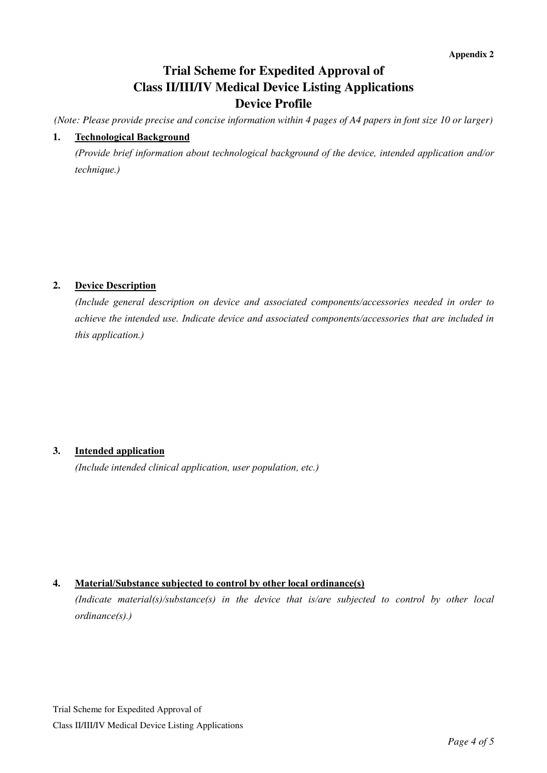# **Trial Scheme for Expedited Approval of Class II/III/IV Medical Device Listing Applications Device Profile**

*(Note: Please provide precise and concise information within 4 pages of A4 papers in font size 10 or larger)* 

### **1. Technological Background**

*(Provide brief information about technological background of the device, intended application and/or technique.)*

## **2. Device Description**

*(Include general description on device and associated components/accessories needed in order to achieve the intended use. Indicate device and associated components/accessories that are included in this application.)*

#### **3. Intended application**

*(Include intended clinical application, user population, etc.)*

## **4. Material/Substance subjected to control by other local ordinance(s)**

*(Indicate material(s)/substance(s) in the device that is/are subjected to control by other local ordinance(s).)*